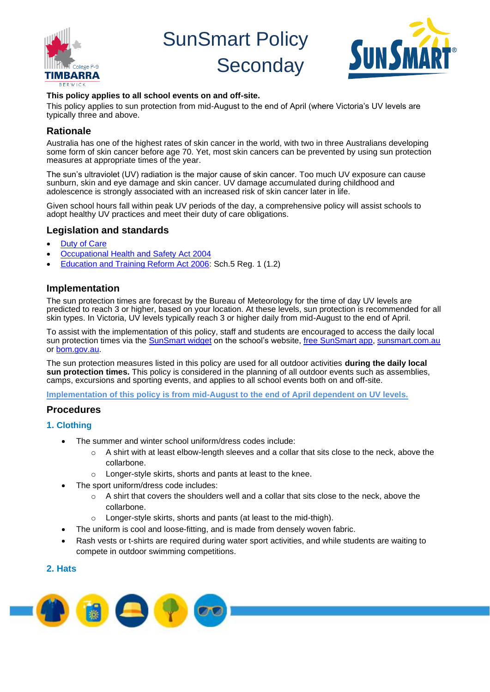

SunSmart Policy



# **With College P-9 Seconday**

#### **This policy applies to all school events on and off-site.**

This policy applies to sun protection from mid-August to the end of April (where Victoria's UV levels are typically three and above.

## **Rationale**

Australia has one of the highest rates of skin cancer in the world, with two in three Australians developing some form of skin cancer before age 70. Yet, most skin cancers can be prevented by using sun protection measures at appropriate times of the year.

The sun's ultraviolet (UV) radiation is the major cause of skin cancer. Too much UV exposure can cause sunburn, skin and eye damage and skin cancer. UV damage accumulated during childhood and adolescence is strongly associated with an increased risk of skin cancer later in life.

Given school hours fall within peak UV periods of the day, a comprehensive policy will assist schools to adopt healthy UV practices and meet their duty of care obligations.

## **Legislation and standards**

- **[Duty of Care](https://www2.education.vic.gov.au/pal/duty-of-care/policy)**
- [Occupational Health and Safety Act 2004](http://www.legislation.vic.gov.au/Domino/Web_Notes/LDMS/PubStatbook.nsf/edfb620cf7503d1aca256da4001b08af/750E0D9E0B2B387FCA256F71001FA7BE/$FILE/04-107A.pdf)
- [Education and Training Reform Act 2006:](http://www.education.vic.gov.au/about/department/legislation/Pages/act2006.aspx) Sch.5 Reg. 1 (1.2)

## **Implementation**

The sun protection times are forecast by the Bureau of Meteorology for the time of day UV levels are predicted to reach 3 or higher, based on your location. At these levels, sun protection is recommended for all skin types. In Victoria, UV levels typically reach 3 or higher daily from mid-August to the end of April.

To assist with the implementation of this policy, staff and students are encouraged to access the daily local sun protection times via the [SunSmart widget](https://www.sunsmart.com.au/uv-sun-protection/uv/uv-widget) on the school's website, [free SunSmart app,](https://www.sunsmart.com.au/tools/interactive-tools/free-sunsmart-app) [sunsmart.com.au](https://www.sunsmart.com.au/) or [bom.gov.au.](http://www.bom.gov.au/)

The sun protection measures listed in this policy are used for all outdoor activities **during the daily local sun protection times.** This policy is considered in the planning of all outdoor events such as assemblies, camps, excursions and sporting events, and applies to all school events both on and off-site.

**Implementation of this policy is from mid-August to the end of April dependent on UV levels.**

## **Procedures**

- **1. Clothing**
	- The summer and winter school uniform/dress codes include:
		- $\circ$  A shirt with at least elbow-length sleeves and a collar that sits close to the neck, above the collarbone.
		- o Longer-style skirts, shorts and pants at least to the knee.
		- The sport uniform/dress code includes:
			- $\circ$  A shirt that covers the shoulders well and a collar that sits close to the neck, above the collarbone.
			- o Longer-style skirts, shorts and pants (at least to the mid-thigh).
	- The uniform is cool and loose-fitting, and is made from densely woven fabric.
	- Rash vests or t-shirts are required during water sport activities, and while students are waiting to compete in outdoor swimming competitions.

## **2. Hats**

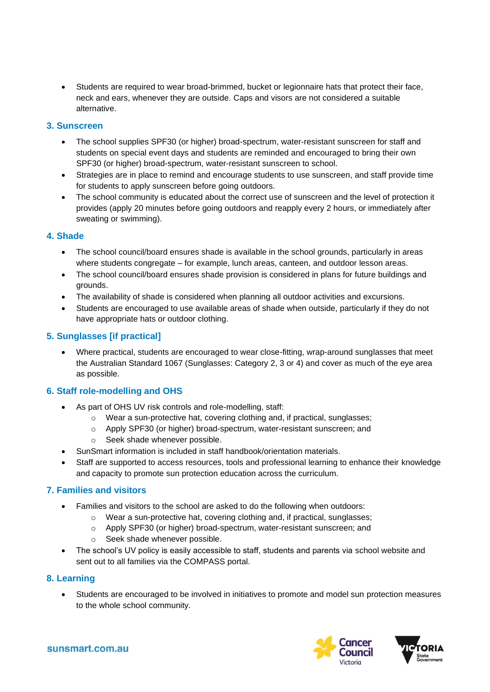• Students are required to wear broad-brimmed, bucket or legionnaire hats that protect their face, neck and ears, whenever they are outside. Caps and visors are not considered a suitable alternative.

## **3. Sunscreen**

- The school supplies SPF30 (or higher) broad-spectrum, water-resistant sunscreen for staff and students on special event days and students are reminded and encouraged to bring their own SPF30 (or higher) broad-spectrum, water-resistant sunscreen to school.
- Strategies are in place to remind and encourage students to use sunscreen, and staff provide time for students to apply sunscreen before going outdoors.
- The school community is educated about the correct use of sunscreen and the level of protection it provides (apply 20 minutes before going outdoors and reapply every 2 hours, or immediately after sweating or swimming).

#### **4. Shade**

- The school council/board ensures shade is available in the school grounds, particularly in areas where students congregate – for example, lunch areas, canteen, and outdoor lesson areas.
- The school council/board ensures shade provision is considered in plans for future buildings and grounds.
- The availability of shade is considered when planning all outdoor activities and excursions.
- Students are encouraged to use available areas of shade when outside, particularly if they do not have appropriate hats or outdoor clothing.

## **5. Sunglasses [if practical]**

• Where practical, students are encouraged to wear close-fitting, wrap-around sunglasses that meet the Australian Standard 1067 (Sunglasses: Category 2, 3 or 4) and cover as much of the eye area as possible.

## **6. Staff role-modelling and OHS**

- As part of OHS UV risk controls and role-modelling, staff:
	- o Wear a sun-protective hat, covering clothing and, if practical, sunglasses;
	- o Apply SPF30 (or higher) broad-spectrum, water-resistant sunscreen; and
	- o Seek shade whenever possible.
- SunSmart information is included in staff handbook/orientation materials.
- Staff are supported to access resources, tools and professional learning to enhance their knowledge and capacity to promote sun protection education across the curriculum.

## **7. Families and visitors**

- Families and visitors to the school are asked to do the following when outdoors:
	- o Wear a sun-protective hat, covering clothing and, if practical, sunglasses;
	- o Apply SPF30 (or higher) broad-spectrum, water-resistant sunscreen; and
	- o Seek shade whenever possible.
- The school's UV policy is easily accessible to staff, students and parents via school website and sent out to all families via the COMPASS portal.

#### **8. Learning**

• Students are encouraged to be involved in initiatives to promote and model sun protection measures to the whole school community.